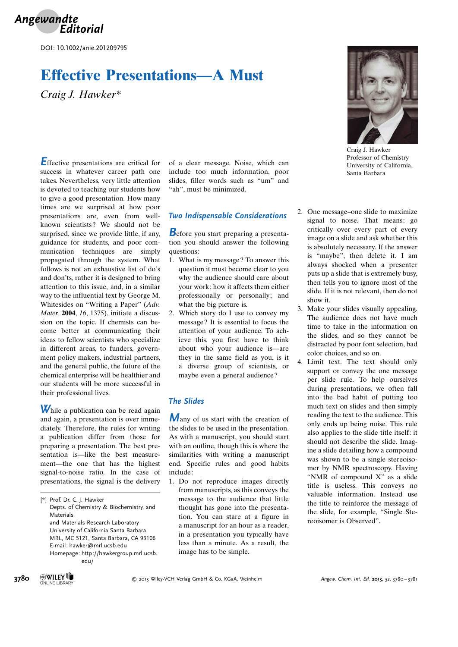

DOI: 10.1002/anie.201209795

# Effective Presentations—A Must

Craig J. Hawker\*

Effective presentations are critical for success in whatever career path one takes. Nevertheless, very little attention is devoted to teaching our students how to give a good presentation. How many times are we surprised at how poor presentations are, even from wellknown scientists? We should not be surprised, since we provide little, if any, guidance for students, and poor communication techniques are simply propagated through the system. What follows is not an exhaustive list of do's and don'ts, rather it is designed to bring attention to this issue, and, in a similar way to the influential text by George M. Whitesides on "Writing a Paper" (Adv. Mater. 2004, 16, 1375), initiate a discussion on the topic. If chemists can become better at communicating their ideas to fellow scientists who specialize in different areas, to funders, government policy makers, industrial partners, and the general public, the future of the chemical enterprise will be healthier and our students will be more successful in their professional lives.

While a publication can be read again and again, a presentation is over immediately. Therefore, the rules for writing a publication differ from those for preparing a presentation. The best presentation is—like the best measurement—the one that has the highest signal-to-noise ratio. In the case of presentations, the signal is the delivery

[\*] Prof. Dr. C. J. Hawker Depts. of Chemistry & Biochemistry, and Materials and Materials Research Laboratory University of California Santa Barbara MRL, MC 5121, Santa Barbara, CA 93106 E-mail: hawker@mrl.ucsb.edu Homepage: http://hawkergroup.mrl.ucsb. edu/

of a clear message. Noise, which can include too much information, poor slides, filler words such as "um" and "ah", must be minimized.

### Two Indispensable Considerations

Before you start preparing a presentation you should answer the following questions:

- 1. What is my message? To answer this question it must become clear to you why the audience should care about your work; how it affects them either professionally or personally; and what the big picture is.
- 2. Which story do I use to convey my message? It is essential to focus the attention of your audience. To achieve this, you first have to think about who your audience is—are they in the same field as you, is it a diverse group of scientists, or maybe even a general audience?

## The Slides

Many of us start with the creation of the slides to be used in the presentation. As with a manuscript, you should start with an outline, though this is where the similarities with writing a manuscript end. Specific rules and good habits include:

1. Do not reproduce images directly from manuscripts, as this conveys the message to the audience that little thought has gone into the presentation. You can stare at a figure in a manuscript for an hour as a reader, in a presentation you typically have less than a minute. As a result, the image has to be simple.



Craig J. Hawker Professor of Chemistry University of California, Santa Barbara

- 2. One message–one slide to maximize signal to noise. That means: go critically over every part of every image on a slide and ask whether this is absolutely necessary. If the answer is "maybe", then delete it. I am always shocked when a presenter puts up a slide that is extremely busy, then tells you to ignore most of the slide. If it is not relevant, then do not show it.
- 3. Make your slides visually appealing. The audience does not have much time to take in the information on the slides, and so they cannot be distracted by poor font selection, bad color choices, and so on.
- 4. Limit text. The text should only support or convey the one message per slide rule. To help ourselves during presentations, we often fall into the bad habit of putting too much text on slides and then simply reading the text to the audience. This only ends up being noise. This rule also applies to the slide title itself: it should not describe the slide. Imagine a slide detailing how a compound was shown to be a single stereoisomer by NMR spectroscopy. Having "NMR of compound X" as a slide title is useless. This conveys no valuable information. Instead use the title to reinforce the message of the slide, for example, "Single Stereoisomer is Observed".